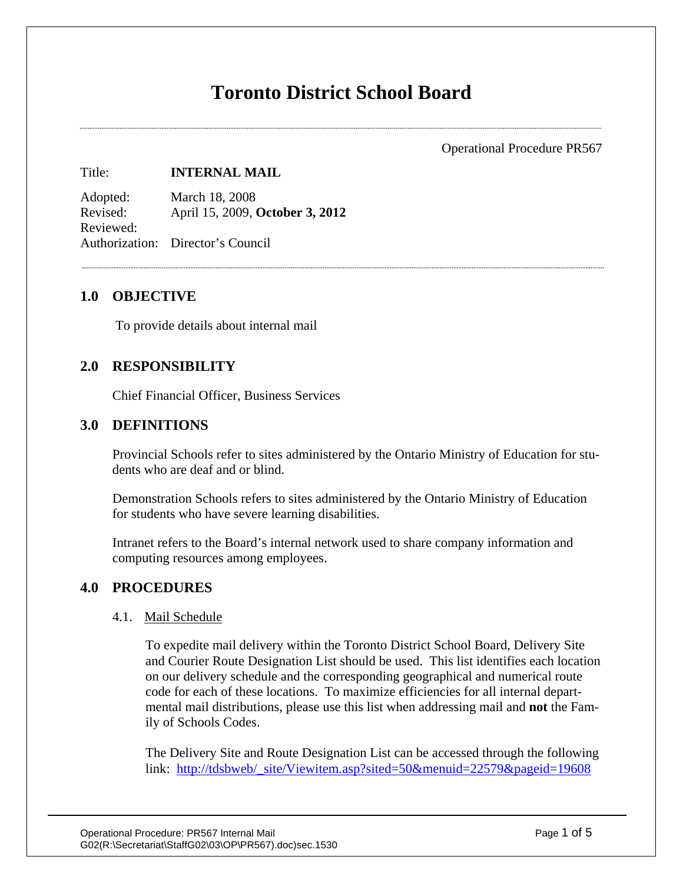# **Toronto District School Board**

Operational Procedure PR567

#### Title: **INTERNAL MAIL**

Adopted: March 18, 2008 Revised: April 15, 2009, **October 3, 2012** Reviewed: Authorization: Director's Council

# **1.0 OBJECTIVE**

To provide details about internal mail

# **2.0 RESPONSIBILITY**

Chief Financial Officer, Business Services

# **3.0 DEFINITIONS**

Provincial Schools refer to sites administered by the Ontario Ministry of Education for students who are deaf and or blind.

Demonstration Schools refers to sites administered by the Ontario Ministry of Education for students who have severe learning disabilities.

Intranet refers to the Board's internal network used to share company information and computing resources among employees.

# **4.0 PROCEDURES**

#### 4.1. Mail Schedule

To expedite mail delivery within the Toronto District School Board, Delivery Site and Courier Route Designation List should be used. This list identifies each location on our delivery schedule and the corresponding geographical and numerical route code for each of these locations. To maximize efficiencies for all internal departmental mail distributions, please use this list when addressing mail and **not** the Family of Schools Codes.

The Delivery Site and Route Designation List can be accessed through the following link: [http://tdsbweb/\\_site/Viewitem.asp?sited=50&menuid=22579&pageid=19608](http://tdsbweb/_site/Viewitem.asp?sited=50&menuid=22579&pageid=19608)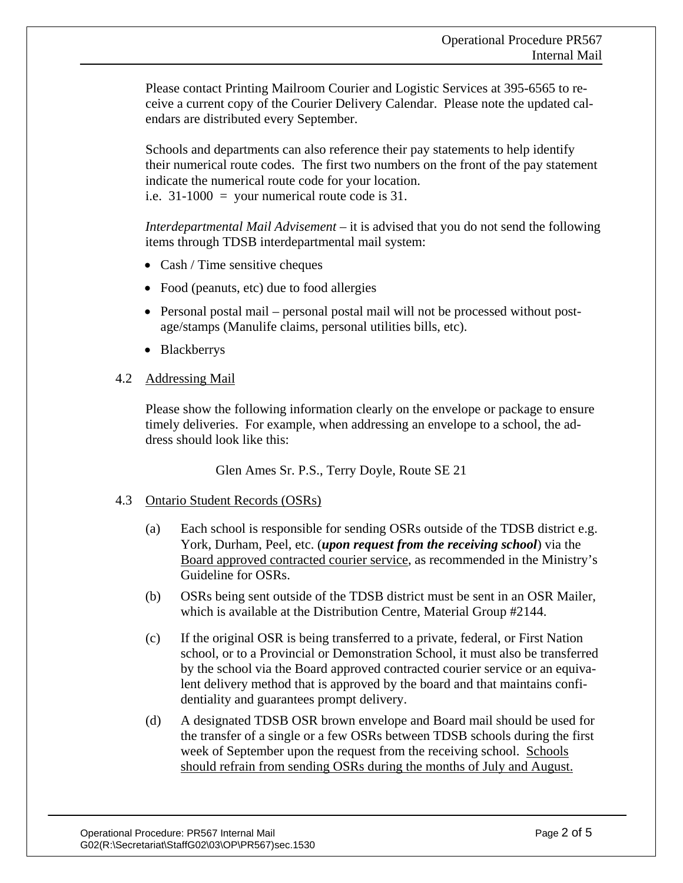Please contact Printing Mailroom Courier and Logistic Services at 395-6565 to receive a current copy of the Courier Delivery Calendar. Please note the updated calendars are distributed every September.

Schools and departments can also reference their pay statements to help identify their numerical route codes. The first two numbers on the front of the pay statement indicate the numerical route code for your location. i.e.  $31-1000 =$  your numerical route code is 31.

*Interdepartmental Mail Advisement* – it is advised that you do not send the following items through TDSB interdepartmental mail system:

- Cash / Time sensitive cheques
- Food (peanuts, etc) due to food allergies
- Personal postal mail personal postal mail will not be processed without postage/stamps (Manulife claims, personal utilities bills, etc).
- Blackberrys

#### 4.2 Addressing Mail

Please show the following information clearly on the envelope or package to ensure timely deliveries. For example, when addressing an envelope to a school, the address should look like this:

Glen Ames Sr. P.S., Terry Doyle, Route SE 21

# 4.3 Ontario Student Records (OSRs)

- (a) Each school is responsible for sending OSRs outside of the TDSB district e.g. York, Durham, Peel, etc. (*upon request from the receiving school*) via the Board approved contracted courier service, as recommended in the Ministry's Guideline for OSRs.
- (b) OSRs being sent outside of the TDSB district must be sent in an OSR Mailer, which is available at the Distribution Centre, Material Group #2144.
- (c) If the original OSR is being transferred to a private, federal, or First Nation school, or to a Provincial or Demonstration School, it must also be transferred by the school via the Board approved contracted courier service or an equivalent delivery method that is approved by the board and that maintains confidentiality and guarantees prompt delivery.
- (d) A designated TDSB OSR brown envelope and Board mail should be used for the transfer of a single or a few OSRs between TDSB schools during the first week of September upon the request from the receiving school. Schools should refrain from sending OSRs during the months of July and August.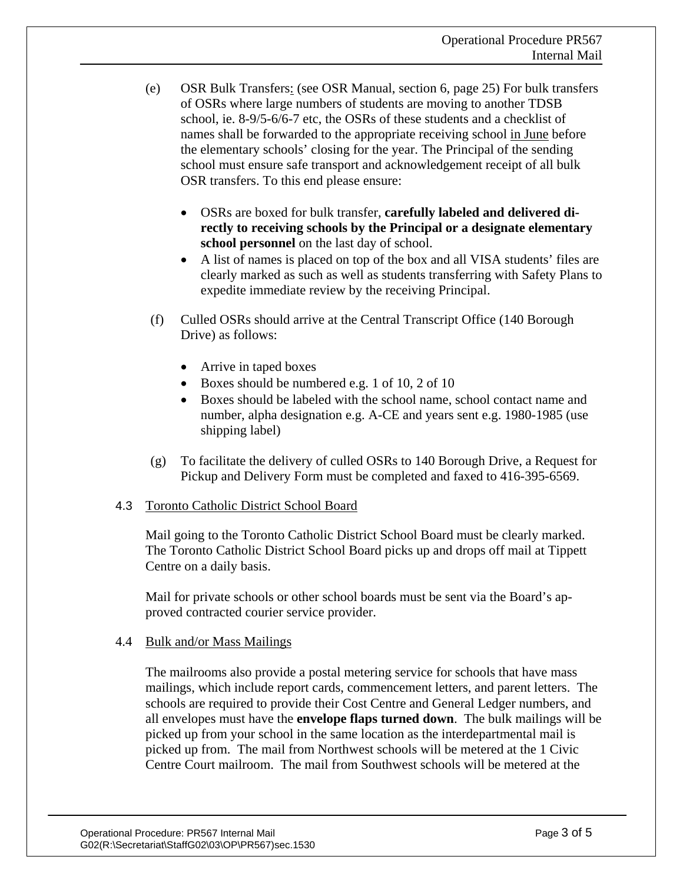- (e) OSR Bulk Transfers: (see OSR Manual, section 6, page 25) For bulk transfers of OSRs where large numbers of students are moving to another TDSB school, ie. 8-9/5-6/6-7 etc, the OSRs of these students and a checklist of names shall be forwarded to the appropriate receiving school in June before the elementary schools' closing for the year. The Principal of the sending school must ensure safe transport and acknowledgement receipt of all bulk OSR transfers. To this end please ensure:
	- OSRs are boxed for bulk transfer, **carefully labeled and delivered directly to receiving schools by the Principal or a designate elementary school personnel** on the last day of school.
	- A list of names is placed on top of the box and all VISA students' files are clearly marked as such as well as students transferring with Safety Plans to expedite immediate review by the receiving Principal.
- (f) Culled OSRs should arrive at the Central Transcript Office (140 Borough Drive) as follows:
	- Arrive in taped boxes
	- Boxes should be numbered e.g. 1 of 10, 2 of 10
	- Boxes should be labeled with the school name, school contact name and number, alpha designation e.g. A-CE and years sent e.g. 1980-1985 (use shipping label)
- (g) To facilitate the delivery of culled OSRs to 140 Borough Drive, a Request for Pickup and Delivery Form must be completed and faxed to 416-395-6569.

# 4.3 Toronto Catholic District School Board

Mail going to the Toronto Catholic District School Board must be clearly marked. The Toronto Catholic District School Board picks up and drops off mail at Tippett Centre on a daily basis.

Mail for private schools or other school boards must be sent via the Board's approved contracted courier service provider.

# 4.4 Bulk and/or Mass Mailings

The mailrooms also provide a postal metering service for schools that have mass mailings, which include report cards, commencement letters, and parent letters. The schools are required to provide their Cost Centre and General Ledger numbers, and all envelopes must have the **envelope flaps turned down**. The bulk mailings will be picked up from your school in the same location as the interdepartmental mail is picked up from. The mail from Northwest schools will be metered at the 1 Civic Centre Court mailroom. The mail from Southwest schools will be metered at the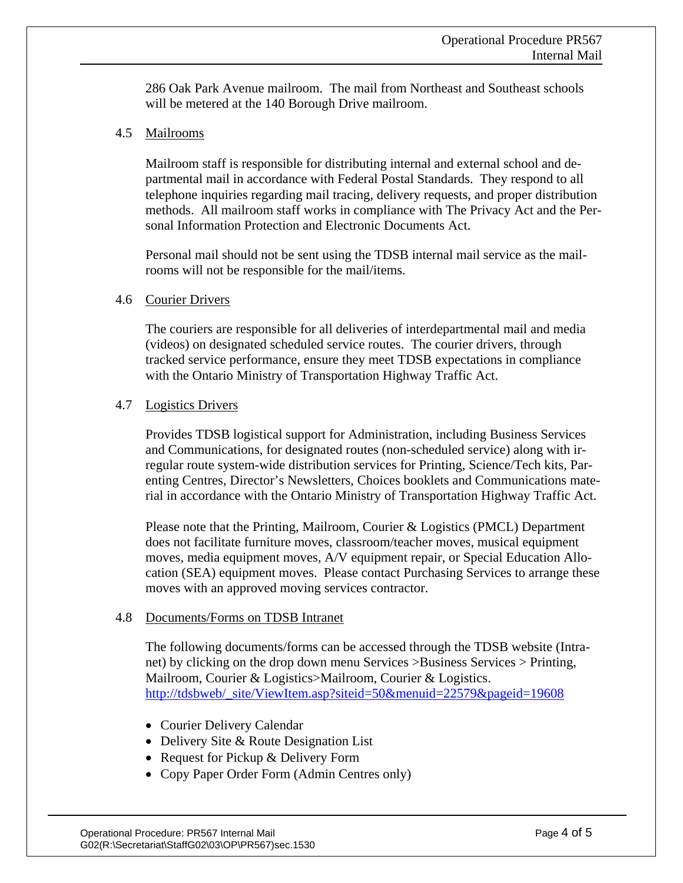286 Oak Park Avenue mailroom. The mail from Northeast and Southeast schools will be metered at the 140 Borough Drive mailroom.

4.5 Mailrooms

Mailroom staff is responsible for distributing internal and external school and departmental mail in accordance with Federal Postal Standards. They respond to all telephone inquiries regarding mail tracing, delivery requests, and proper distribution methods. All mailroom staff works in compliance with The Privacy Act and the Personal Information Protection and Electronic Documents Act.

Personal mail should not be sent using the TDSB internal mail service as the mailrooms will not be responsible for the mail/items.

#### 4.6 Courier Drivers

The couriers are responsible for all deliveries of interdepartmental mail and media (videos) on designated scheduled service routes. The courier drivers, through tracked service performance, ensure they meet TDSB expectations in compliance with the Ontario Ministry of Transportation Highway Traffic Act.

#### 4.7 Logistics Drivers

Provides TDSB logistical support for Administration, including Business Services and Communications, for designated routes (non-scheduled service) along with irregular route system-wide distribution services for Printing, Science/Tech kits, Parenting Centres, Director's Newsletters, Choices booklets and Communications material in accordance with the Ontario Ministry of Transportation Highway Traffic Act.

Please note that the Printing, Mailroom, Courier & Logistics (PMCL) Department does not facilitate furniture moves, classroom/teacher moves, musical equipment moves, media equipment moves, A/V equipment repair, or Special Education Allocation (SEA) equipment moves. Please contact Purchasing Services to arrange these moves with an approved moving services contractor.

#### 4.8 Documents/Forms on TDSB Intranet

The following documents/forms can be accessed through the TDSB website (Intranet) by clicking on the drop down menu Services >Business Services > Printing, Mailroom, Courier & Logistics>Mailroom, Courier & Logistics. [http://tdsbweb/\\_site/ViewItem.asp?siteid=50&menuid=22579&pageid=19608](http://tdsbweb/_site/ViewItem.asp?siteid=50&menuid=22579&pageid=19608)

- Courier Delivery Calendar
- Delivery Site & Route Designation List
- Request for Pickup & Delivery Form
- Copy Paper Order Form (Admin Centres only)